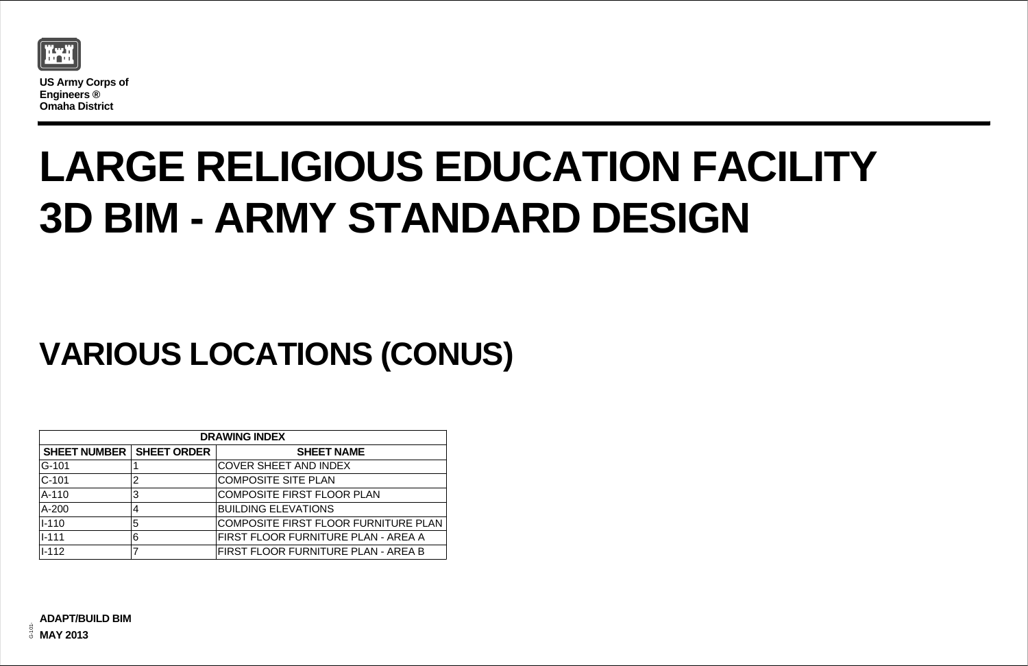

**US Army Corps of Engineers ® Omaha District**

| $\overline{\mathsf{I}}$ |
|-------------------------|
|                         |
| <b>NITURE PLAN</b>      |
| I - AREA A              |

## **LARGE RELIGIOUS EDUCATION FACILITY 3D BIM - ARMY STANDARD DESIGN**

## **VARIOUS LOCATIONS (CONUS)**

| <b>DRAWING INDEX</b> |                    |                                      |  |
|----------------------|--------------------|--------------------------------------|--|
| <b>SHEET NUMBER</b>  | <b>SHEET ORDER</b> | <b>SHEET NAME</b>                    |  |
| G-101                |                    | <b>COVER SHEET AND INDEX</b>         |  |
| $ C-101$             | $\overline{2}$     | <b>COMPOSITE SITE PLAN</b>           |  |
| $A-110$              | 3                  | <b>COMPOSITE FIRST FLOOR PLAN</b>    |  |
| $A-200$              | 4                  | <b>BUILDING ELEVATIONS</b>           |  |
| $ I-110 $            | 5                  | COMPOSITE FIRST FLOOR FURNITURE PLAN |  |
| $1 - 111$            | 6                  | FIRST FLOOR FURNITURE PLAN - AREA A  |  |
| $ I-112 $            |                    | FIRST FLOOR FURNITURE PLAN - AREA B  |  |
|                      |                    |                                      |  |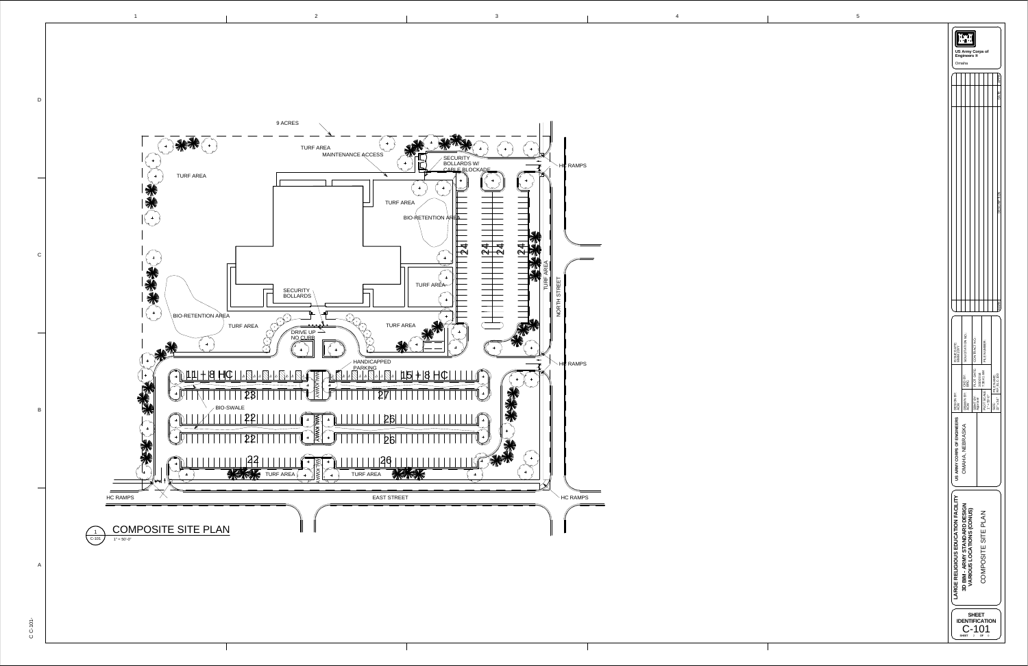1



|                                        | $\mathbf{I}$<br>Engineers ®<br>Omaha                             |                         | <b>US Army Corps of</b>                              |                                                |
|----------------------------------------|------------------------------------------------------------------|-------------------------|------------------------------------------------------|------------------------------------------------|
|                                        |                                                                  |                         |                                                      | APPP<br>DATE                                   |
|                                        |                                                                  |                         |                                                      | <b>DESCRIPT</b>                                |
|                                        |                                                                  |                         |                                                      | <b>MARK</b>                                    |
| ISSUE DATE:<br>MMM 20YY                | SOLICITATION NO.:                                                | PLOT DATE: CONTRACT NO. | FILE NUMBER:                                         |                                                |
| DESIGN BY:<br>ACW                      | DRAWN BY: CKD BY:<br>ACW                                         | SBMT BY:<br>Approver    | $F_{\text{PLOT SCALE:}}$ 7:38:41 AM<br>$1" = 50'-0"$ | FILE NAME:<br>RF_ELC-100<br>22" x 34"<br>SIZE: |
| US ARMY CORPS OF ENGINEERS             | OMAHA, NEBRASKA                                                  |                         |                                                      |                                                |
| <b>SE RELIGIOUS EDUCATION FACILITY</b> | <b>D BIM - ARMY STANDARD DESIGN</b><br>VARIOUS LOCATIONS (CONUS) |                         | COMPOSITE SITE PLAN                                  |                                                |
|                                        | N<br>SHEET                                                       | SHEET<br>2              | <b>FICATION</b><br>ΟF<br>0                           |                                                |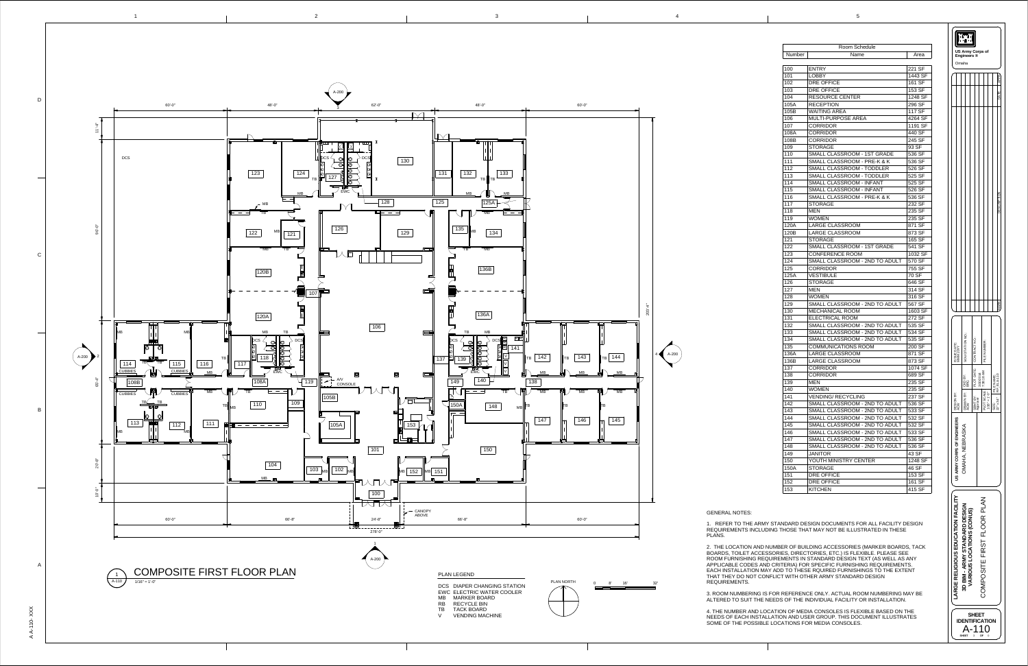1

2 3 4 5

AA - $\overline{\phantom{0}}$  $\stackrel{\textstyle\circ}{\tau}$ -  $\times$  $\times$  $\bm{\times}$ 





| Room Schedule |                                        |         |  |
|---------------|----------------------------------------|---------|--|
| Number        | Name                                   | Area    |  |
|               |                                        |         |  |
| 100           | <b>ENTRY</b>                           | 221 SF  |  |
| 101           | <b>LOBBY</b>                           | 1443 SF |  |
| 102           | <b>DRE OFFICE</b>                      | 161 SF  |  |
| 103           | <b>DRE OFFICE</b>                      | 153 SF  |  |
| 104           | <b>RESOURCE CENTER</b>                 | 1248 SF |  |
| 105A          | <b>RECEPTION</b>                       | 296 SF  |  |
| 105B          | <b>WAITING AREA</b>                    | 117 SF  |  |
| 106           | <b>MULTI-PURPOSE AREA</b>              | 4264 SF |  |
| 107           | <b>CORRIDOR</b>                        | 1191 SF |  |
| 108A          | <b>CORRIDOR</b>                        | 440 SF  |  |
| 108B          | <b>CORRIDOR</b>                        | 245 SF  |  |
| 109           | <b>STORAGE</b>                         | 93 SF   |  |
| 110           | SMALL CLASSROOM - 1ST GRADE            | 536 SF  |  |
| 111           | <b>SMALL CLASSROOM - PRE-K &amp; K</b> | 536 SF  |  |
| 112           | <b>SMALL CLASSROOM - TODDLER</b>       | 526 SF  |  |
| 113           | <b>SMALL CLASSROOM - TODDLER</b>       |         |  |
|               |                                        | 525 SF  |  |
| 114           | <b>SMALL CLASSROOM - INFANT</b>        | 525 SF  |  |
| 115           | <b>SMALL CLASSROOM - INFANT</b>        | 526 SF  |  |
| 116           | SMALL CLASSROOM - PRE-K & K            | 536 SF  |  |
| 117           | <b>STORAGE</b>                         | 232 SF  |  |
| 118           | <b>MEN</b>                             | 235 SF  |  |
| 119           | <b>WOMEN</b>                           | 235 SF  |  |
| 120A          | <b>LARGE CLASSROOM</b>                 | 871 SF  |  |
| 120B          | <b>LARGE CLASSROOM</b>                 | 873 SF  |  |
| 121           | <b>STORAGE</b>                         | 165 SF  |  |
| 122           | SMALL CLASSROOM - 1ST GRADE            | 541 SF  |  |
| 123           | <b>CONFERENCE ROOM</b>                 | 1032 SF |  |
| 124           | SMALL CLASSROOM - 2ND TO ADULT         | 570 SF  |  |
| 125           | <b>CORRIDOR</b>                        | 755 SF  |  |
| 125A          | <b>VESTIBULE</b>                       | 70 SF   |  |
| 126           | <b>STORAGE</b>                         | 646 SF  |  |
| 127           | <b>MEN</b>                             | 314 SF  |  |
| 128           | <b>WOMEN</b>                           | 316 SF  |  |
| 129           | SMALL CLASSROOM - 2ND TO ADULT         | 567 SF  |  |
| 130           | <b>MECHANICAL ROOM</b>                 | 1603 SF |  |
| 131           | <b>ELECTRICAL ROOM</b>                 | 272 SF  |  |
| 132           | SMALL CLASSROOM - 2ND TO ADULT         | 535 SF  |  |
| 133           | SMALL CLASSROOM - 2ND TO ADULT         | 534 SF  |  |
| 134           | SMALL CLASSROOM - 2ND TO ADULT         | 535 SF  |  |
| 135           | <b>COMMUNICATIONS ROOM</b>             | 200 SF  |  |
| 136A          | <b>LARGE CLASSROOM</b>                 | 871 SF  |  |
| 136B          | <b>LARGE CLASSROOM</b>                 | 873 SF  |  |
| 137           | <b>CORRIDOR</b>                        | 1074 SF |  |
| 138           | <b>CORRIDOR</b>                        | 689 SF  |  |
| 139           | <b>MEN</b>                             | 235 SF  |  |
| 140           | <b>WOMEN</b>                           | 235 SF  |  |
| 141           | <b>VENDING/ RECYCLING</b>              | 237 SF  |  |
| 142           | SMALL CLASSROOM - 2ND TO ADULT         | 536 SF  |  |
|               | SMALL CLASSROOM - 2ND TO ADULT         |         |  |
| 143           |                                        | 533 SF  |  |
| 144           | SMALL CLASSROOM - 2ND TO ADULT         | 532 SF  |  |
| 145           | SMALL CLASSROOM - 2ND TO ADULT         | 532 SF  |  |
| 146           | SMALL CLASSROOM - 2ND TO ADULT         | 533 SF  |  |
| 147           | SMALL CLASSROOM - 2ND TO ADULT         | 536 SF  |  |
| 148           | SMALL CLASSROOM - 2ND TO ADULT         | 536 SF  |  |
| 149           | <b>JANITOR</b>                         | 43 SF   |  |
| 150           | YOUTH MINISTRY CENTER                  | 1248 SF |  |
| 150A          | <b>STORAGE</b>                         | 46 SF   |  |
| 151           | <b>DRE OFFICE</b>                      | 153 SF  |  |
| 152           | <b>DRE OFFICE</b>                      | 161 SF  |  |
| 153           | <b>KITCHEN</b>                         | 415 SF  |  |

GENERAL NOTES:



PLANS.

2. THE LOCATION AND NUMBER OF BUILDING ACCESSORIES (MARKER BOARDS, TACK BOARDS, TOILET ACCESSORIES, DIRECTORIES, ETC.) IS FLEXIBLE. PLEASE SEE ROOM FURNISHING REQUIREMENTS IN STANDARD DESIGN TEXT (AS WELL AS ANY APPLICABLE CODES AND CRITERIA) FOR SPECIFIC FURNISHING REQUIREMENTS. EACH INSTALLATION MAY ADD TO THESE RQUIRED FURNISHINGS TO THE EXTENT THAT THEY DO NOT CONFLICT WITH OTHER ARMY STANDARD DESIGN

REQUIREMENTS.

3. ROOM NUMBERING IS FOR REFERENCE ONLY. ACTUAL ROOM NUMBERING MAY BE ALTERED TO SUIT THE NEEDS OF THE INDIVIDUAL FACILITY OR INSTALLATION.

4. THE NUMBER AND LOCATION OF MEDIA CONSOLES IS FLEXIBLE BASED ON THE NEEDS OF EACH INSTALLATION AND USER GROUP. THIS DOCUMENT ILLUSTRATES SOME OF THE POSSIBLE LOCATIONS FOR MEDIA CONSOLES.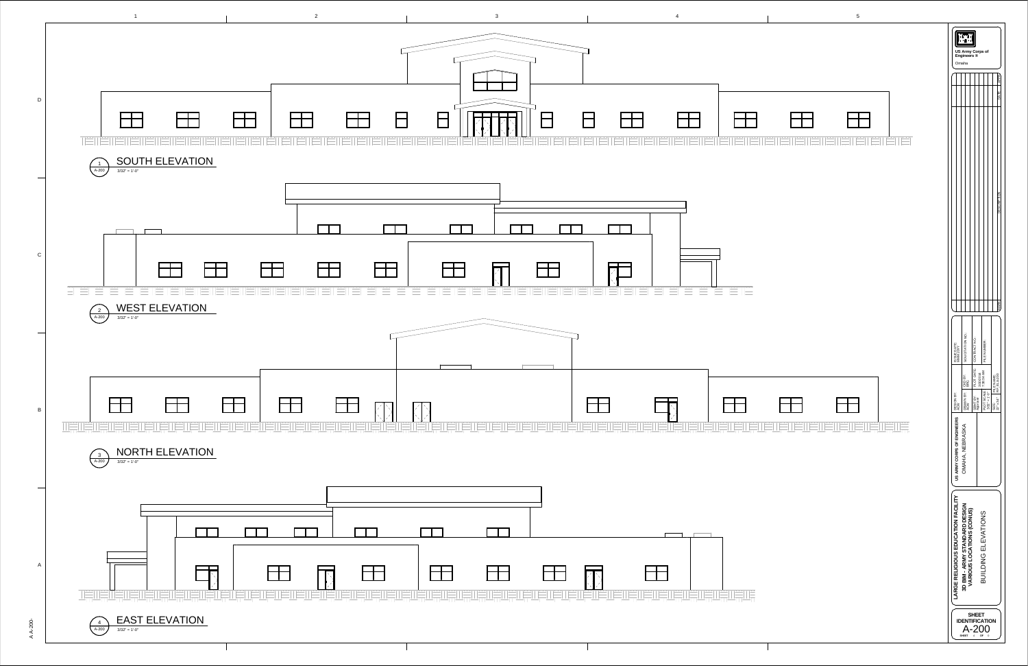

 $\blacktriangleleft$ A بر يو 2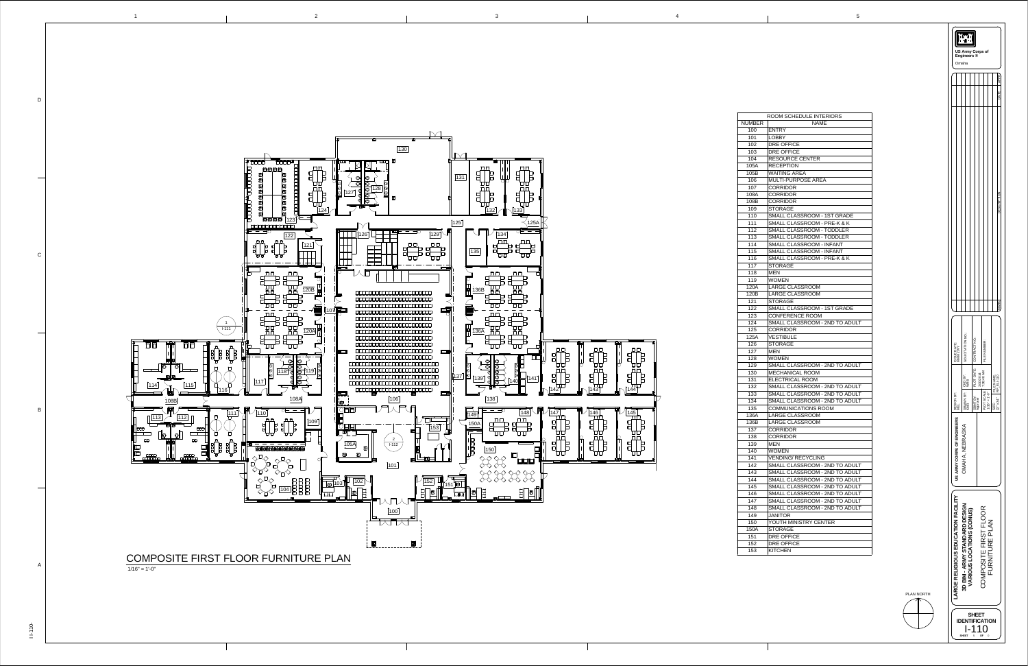



—  $\overline{I}$  $\overline{\phantom{0}}$  NUMB  $102$  $\overline{117}$  $\overline{123}$  $\overline{125}$  $\overline{127}$ 

|       | ROOM SCHEDULE INTERIORS                |
|-------|----------------------------------------|
| JMBER | <b>NAME</b>                            |
| 100   | <b>ENTRY</b>                           |
| 101   | <b>LOBBY</b>                           |
| 102   | <b>DRE OFFICE</b>                      |
| 103   | <b>DRE OFFICE</b>                      |
| 104   | <b>RESOURCE CENTER</b>                 |
| 105A  | <b>RECEPTION</b>                       |
| 105B  | <b>WAITING AREA</b>                    |
| 106   | <b>MULTI-PURPOSE AREA</b>              |
| 107   | <b>CORRIDOR</b>                        |
| 108A  | <b>CORRIDOR</b>                        |
| 108B  | <b>CORRIDOR</b>                        |
| 109   | <b>STORAGE</b>                         |
| 110   | SMALL CLASSROOM - 1ST GRADE            |
| 111   | <b>SMALL CLASSROOM - PRE-K &amp; K</b> |
| 112   | <b>SMALL CLASSROOM - TODDLER</b>       |
| 113   | <b>SMALL CLASSROOM - TODDLER</b>       |
| 114   | <b>SMALL CLASSROOM - INFANT</b>        |
| 115   | <b>SMALL CLASSROOM - INFANT</b>        |
| 116   | <b>SMALL CLASSROOM - PRE-K &amp; K</b> |
| 117   | <b>STORAGE</b>                         |
| 118   | <b>MEN</b>                             |
| 119   | <b>WOMEN</b>                           |
| 120A  | <b>LARGE CLASSROOM</b>                 |
| 120B  | <b>LARGE CLASSROOM</b>                 |
| 121   | <b>STORAGE</b>                         |
| 122   | SMALL CLASSROOM - 1ST GRADE            |
| 123   | <b>CONFERENCE ROOM</b>                 |
| 124   | SMALL CLASSROOM - 2ND TO ADULT         |
| 125   | <b>CORRIDOR</b>                        |
| 125A  | <b>VESTIBULE</b>                       |
| 126   | <b>STORAGE</b>                         |
| 127   | <b>MEN</b>                             |
| 128   | <b>WOMEN</b>                           |
| 129   | SMALL CLASSROOM - 2ND TO ADULT         |
| 130   | <b>MECHANICAL ROOM</b>                 |
| 131   | <b>ELECTRICAL ROOM</b>                 |
| 132   | SMALL CLASSROOM - 2ND TO ADULT         |
| 133   | SMALL CLASSROOM - 2ND TO ADULT         |
| 134   | SMALL CLASSROOM - 2ND TO ADULT         |
| 135   | <b>COMMUNICATIONS ROOM</b>             |
| 136A  | <b>LARGE CLASSROOM</b>                 |
| 136B  | <b>LARGE CLASSROOM</b>                 |
| 137   | <b>CORRIDOR</b>                        |
| 138   | <b>CORRIDOR</b>                        |
| 139   | <b>MEN</b>                             |
| 140   | <b>WOMEN</b>                           |
| 141   | <b>VENDING/RECYCLING</b>               |
| 142   | SMALL CLASSROOM - 2ND TO ADULT         |
| 143   | SMALL CLASSROOM - 2ND TO ADULT         |
| 144   | SMALL CLASSROOM - 2ND TO ADULT         |
| 145   | SMALL CLASSROOM - 2ND TO ADULT         |
| 146   | SMALL CLASSROOM - 2ND TO ADULT         |
| 147   | SMALL CLASSROOM - 2ND TO ADULT         |
| 148   | SMALL CLASSROOM - 2ND TO ADULT         |
| 149   | <b>JANITOR</b>                         |
| 150   | YOUTH MINISTRY CENTER                  |
| 150A  | <b>STORAGE</b>                         |
| 151   | <b>DRE OFFICE</b>                      |
| 152   | <b>DRE OFFICE</b>                      |
| 153   | <b>KITCHEN</b>                         |
|       |                                        |

PLAN NORTH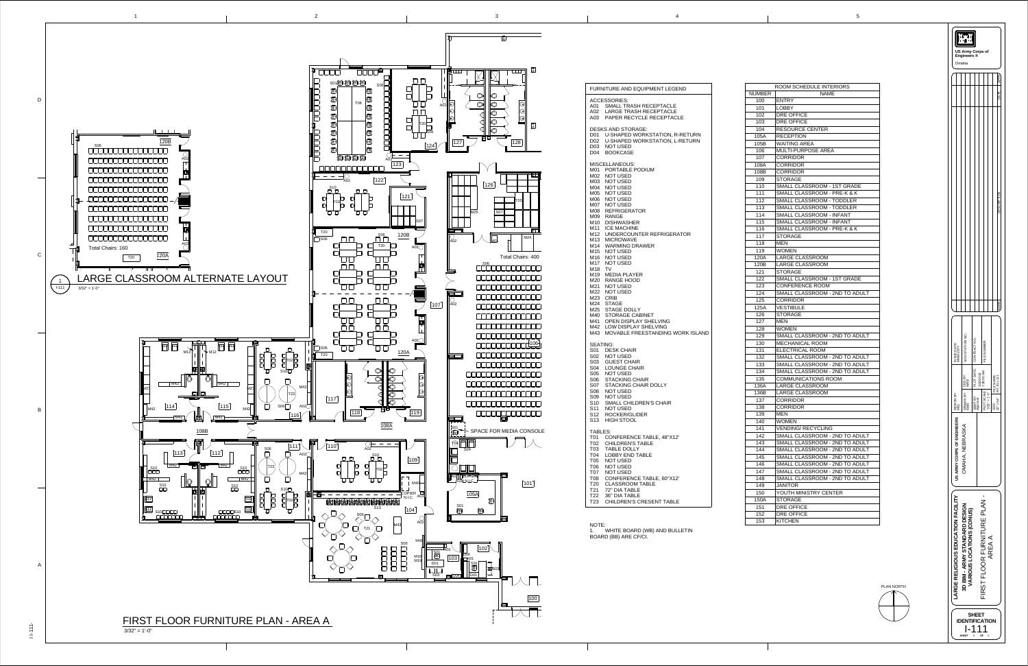| <b>FURNITURE AND EQUIPMENT LEGEND</b>                                                                                                                                                                                                                                                                                                                                                                                                                                                                                                                                                                                              |
|------------------------------------------------------------------------------------------------------------------------------------------------------------------------------------------------------------------------------------------------------------------------------------------------------------------------------------------------------------------------------------------------------------------------------------------------------------------------------------------------------------------------------------------------------------------------------------------------------------------------------------|
| <b>ACCESSORIES:</b><br>A01 SMALL TRASH RECEPTACLE<br>A02 LARGE TRASH RECEPTACLE<br>A03 PAPER RECYCLE RECEPTACLE                                                                                                                                                                                                                                                                                                                                                                                                                                                                                                                    |
| <b>DESKS AND STORAGE:</b><br>D01 U-SHAPED WORKSTATION, R-RETURN<br>D02 U-SHAPED WORKSTATION, L-RETURN<br>D03 NOT USED<br>D04 BOOKCASE                                                                                                                                                                                                                                                                                                                                                                                                                                                                                              |
| <b>MISCELLANEOUS:</b><br>M01 PORTABLE PODIUM<br>M02 NOT USED<br>M03 NOT USED<br>M04 NOT USED<br>M05 NOT USED<br>M06 NOT USED<br>M07 NOT USED<br>M08 REFRIGERATOR<br>M09 RANGE<br>M <sub>10</sub> DISHWASHER<br>M11 ICE MACHINE<br>M12 UNDERCOUNTER REFRIGERATOR<br>M13 MICROWAVE<br>M14 WARMING DRAWER<br>M <sub>15</sub> NOT USED<br>M <sub>16</sub> NOT USED<br>M17 NOT USED<br>M18 TV<br>M19 MEDIA PLAYER<br>M20 RANGE HOOD<br>M21 NOT USED<br>M22 NOT USED<br>M23 CRIB<br>M24 STAGE<br>M25 STAGE DOLLY<br>M40 STORAGE CABINET<br>M41 OPEN DISPLAY SHELVING<br>M42 LOW DISPLAY SHELVING<br>M43 MOVABLE FREESTANDING WORK ISLAND |
| <b>SEATING:</b><br>S01 DESK CHAIR<br>S02 NOT USED<br>S03 GUEST CHAIR<br>S04 LOUNGE CHAIR<br>S05 NOT USED<br>S06 STACKING CHAIR<br>S07 STACKING CHAIR DOLLY<br>S08 NOT USED<br>S09 NOT USED<br>S10 SMALL CHILDREN'S CHAIR<br>S11 NOT USED<br>S12 ROCKER/GLIDER<br>S13 HIGH STOOL                                                                                                                                                                                                                                                                                                                                                    |
| <b>TABLES:</b><br>T01 CONFERENCE TABLE, 48"X12"<br>T02 CHILDREN'S TABLE<br>T03 TABLE DOLLY<br><b>LOBBY END TABLE</b><br>T04<br>T05 NOT USED<br>T06 NOT USED<br>T07 NOT USED<br><b>CONFERENCE TABLE, 60"X12"</b><br>T08<br>T20 CLASSROOM TABLE<br>T21 72" DIA TABLE<br>T22 36" DIA TABLE<br><b>CHILDREN'S CRESENT TABLE</b><br>T23                                                                                                                                                                                                                                                                                                  |

NOTE: 1. WHITE BOARD (WB) AND BULLETIN BOARD (BB) ARE CF/CI.





|             | <b>ROOM SCHEDULE INTERIORS</b>                               |
|-------------|--------------------------------------------------------------|
| NUMBER      | <b>NAME</b>                                                  |
| 100         | <b>ENTRY</b>                                                 |
| 101         | <b>LOBBY</b>                                                 |
| 102         | <b>DRE OFFICE</b>                                            |
| 103         | <b>DRE OFFICE</b>                                            |
| 104         | <b>RESOURCE CENTER</b>                                       |
| 105A        | <b>RECEPTION</b>                                             |
| 105B        | <b>WAITING AREA</b>                                          |
| 106         | <b>MULTI-PURPOSE AREA</b>                                    |
| 107         | <b>CORRIDOR</b>                                              |
| 108A        | <b>CORRIDOR</b>                                              |
| 108B        | <b>CORRIDOR</b>                                              |
| 109         | <b>STORAGE</b>                                               |
| 110         | SMALL CLASSROOM - 1ST GRADE                                  |
| 111         | SMALL CLASSROOM - PRE-K & K                                  |
| 112         | <b>SMALL CLASSROOM - TODDLER</b>                             |
| 113         | <b>SMALL CLASSROOM - TODDLER</b>                             |
| 114         | <b>SMALL CLASSROOM - INFANT</b>                              |
| 115         | <b>SMALL CLASSROOM - INFANT</b>                              |
| 116         | SMALL CLASSROOM - PRE-K & K                                  |
| 117         | <b>STORAGE</b>                                               |
| 118         | <b>MEN</b>                                                   |
| 119         | <b>WOMEN</b>                                                 |
| 120A        | <b>LARGE CLASSROOM</b>                                       |
| 120B        | <b>LARGE CLASSROOM</b>                                       |
| 121         | STORAGE                                                      |
| 122         | <b>SMALL CLASSROOM - 1ST GRADE</b><br><b>CONFERENCE ROOM</b> |
| 123<br>124  | SMALL CLASSROOM - 2ND TO ADULT                               |
| 125         | CORRIDOR                                                     |
| 125A        | <b>VESTIBULE</b>                                             |
| 126         | <b>STORAGE</b>                                               |
| 127         | <b>MEN</b>                                                   |
| 128         | <b>WOMEN</b>                                                 |
| 129         | SMALL CLASSROOM - 2ND TO ADULT                               |
| 130         | <b>MECHANICAL ROOM</b>                                       |
| 131         | <b>ELECTRICAL ROOM</b>                                       |
| 132         | SMALL CLASSROOM - 2ND TO ADULT                               |
| 133         | SMALL CLASSROOM - 2ND TO ADULT                               |
| 134         | SMALL CLASSROOM - 2ND TO ADULT                               |
| 135         | <b>COMMUNICATIONS ROOM</b>                                   |
| 136A        | <b>LARGE CLASSROOM</b>                                       |
| 136B        | <b>LARGE CLASSROOM</b>                                       |
| 137         | <b>CORRIDOR</b>                                              |
| 138         | <b>CORRIDOR</b>                                              |
| 139         | <b>MEN</b>                                                   |
| 140         | <b>WOMEN</b>                                                 |
| 141         | <b>VENDING/RECYCLING</b>                                     |
| 142         | SMALL CLASSROOM - 2ND TO ADULT                               |
| 143         | SMALL CLASSROOM - 2ND TO ADULT                               |
| 144         | SMALL CLASSROOM - 2ND TO ADULT                               |
| 145         | SMALL CLASSROOM - 2ND TO ADULT                               |
| 146         | SMALL CLASSROOM - 2ND TO ADULT                               |
| 147         | SMALL CLASSROOM - 2ND TO ADULT                               |
| 148         | SMALL CLASSROOM - 2ND TO ADULT                               |
| 149         | <b>JANITOR</b>                                               |
| 150         | YOUTH MINISTRY CENTER<br><b>STORAGE</b>                      |
| 150A<br>151 | <b>DRE OFFICE</b>                                            |
| 152         | <b>DRE OFFICE</b>                                            |
| 153         | <b>KITCHEN</b>                                               |
|             |                                                              |

PLAN NORTH